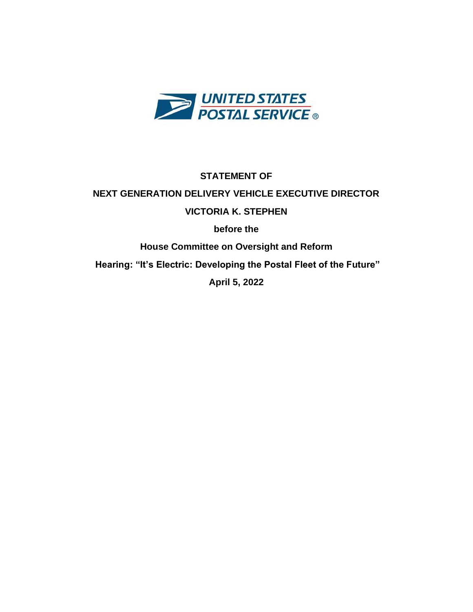

# **STATEMENT OF NEXT GENERATION DELIVERY VEHICLE EXECUTIVE DIRECTOR VICTORIA K. STEPHEN before the**

**House Committee on Oversight and Reform**

**Hearing: "It's Electric: Developing the Postal Fleet of the Future"**

**April 5, 2022**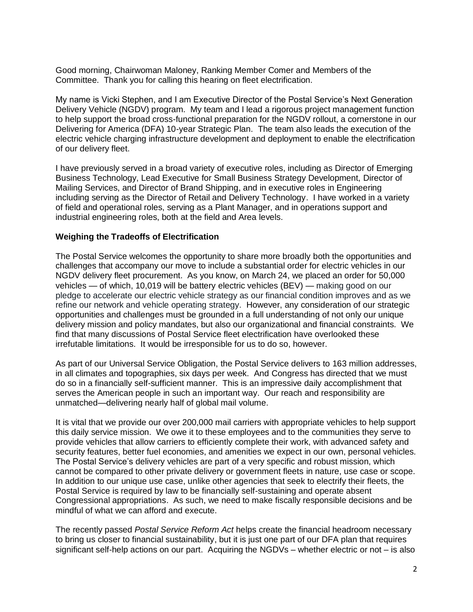Good morning, Chairwoman Maloney, Ranking Member Comer and Members of the Committee. Thank you for calling this hearing on fleet electrification.

My name is Vicki Stephen, and I am Executive Director of the Postal Service's Next Generation Delivery Vehicle (NGDV) program. My team and I lead a rigorous project management function to help support the broad cross-functional preparation for the NGDV rollout, a cornerstone in our Delivering for America (DFA) 10-year Strategic Plan. The team also leads the execution of the electric vehicle charging infrastructure development and deployment to enable the electrification of our delivery fleet.

I have previously served in a broad variety of executive roles, including as Director of Emerging Business Technology, Lead Executive for Small Business Strategy Development, Director of Mailing Services, and Director of Brand Shipping, and in executive roles in Engineering including serving as the Director of Retail and Delivery Technology. I have worked in a variety of field and operational roles, serving as a Plant Manager, and in operations support and industrial engineering roles, both at the field and Area levels.

#### **Weighing the Tradeoffs of Electrification**

The Postal Service welcomes the opportunity to share more broadly both the opportunities and challenges that accompany our move to include a substantial order for electric vehicles in our NGDV delivery fleet procurement. As you know, on March 24, we placed an order for 50,000 vehicles — of which, 10,019 will be battery electric vehicles (BEV) — making good on our pledge to accelerate our electric vehicle strategy as our financial condition improves and as we refine our network and vehicle operating strategy. However, any consideration of our strategic opportunities and challenges must be grounded in a full understanding of not only our unique delivery mission and policy mandates, but also our organizational and financial constraints. We find that many discussions of Postal Service fleet electrification have overlooked these irrefutable limitations. It would be irresponsible for us to do so, however.

As part of our Universal Service Obligation, the Postal Service delivers to 163 million addresses, in all climates and topographies, six days per week. And Congress has directed that we must do so in a financially self-sufficient manner. This is an impressive daily accomplishment that serves the American people in such an important way. Our reach and responsibility are unmatched—delivering nearly half of global mail volume.

It is vital that we provide our over 200,000 mail carriers with appropriate vehicles to help support this daily service mission. We owe it to these employees and to the communities they serve to provide vehicles that allow carriers to efficiently complete their work, with advanced safety and security features, better fuel economies, and amenities we expect in our own, personal vehicles. The Postal Service's delivery vehicles are part of a very specific and robust mission, which cannot be compared to other private delivery or government fleets in nature, use case or scope. In addition to our unique use case, unlike other agencies that seek to electrify their fleets, the Postal Service is required by law to be financially self-sustaining and operate absent Congressional appropriations. As such, we need to make fiscally responsible decisions and be mindful of what we can afford and execute.

The recently passed *Postal Service Reform Act* helps create the financial headroom necessary to bring us closer to financial sustainability, but it is just one part of our DFA plan that requires significant self-help actions on our part. Acquiring the NGDVs – whether electric or not – is also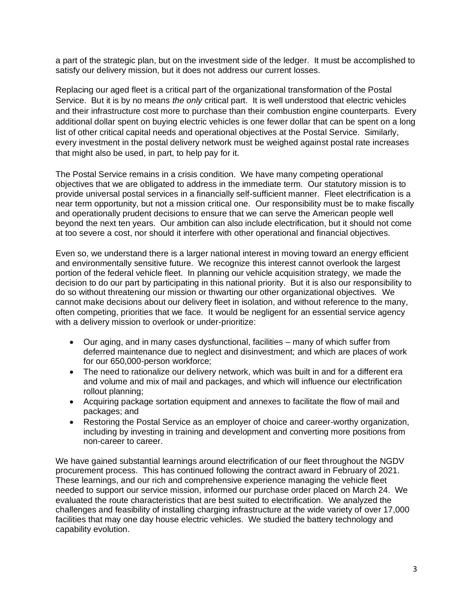a part of the strategic plan, but on the investment side of the ledger. It must be accomplished to satisfy our delivery mission, but it does not address our current losses.

Replacing our aged fleet is a critical part of the organizational transformation of the Postal Service. But it is by no means *the only* critical part. It is well understood that electric vehicles and their infrastructure cost more to purchase than their combustion engine counterparts. Every additional dollar spent on buying electric vehicles is one fewer dollar that can be spent on a long list of other critical capital needs and operational objectives at the Postal Service. Similarly, every investment in the postal delivery network must be weighed against postal rate increases that might also be used, in part, to help pay for it.

The Postal Service remains in a crisis condition. We have many competing operational objectives that we are obligated to address in the immediate term. Our statutory mission is to provide universal postal services in a financially self-sufficient manner. Fleet electrification is a near term opportunity, but not a mission critical one. Our responsibility must be to make fiscally and operationally prudent decisions to ensure that we can serve the American people well beyond the next ten years. Our ambition can also include electrification, but it should not come at too severe a cost, nor should it interfere with other operational and financial objectives.

Even so, we understand there is a larger national interest in moving toward an energy efficient and environmentally sensitive future. We recognize this interest cannot overlook the largest portion of the federal vehicle fleet. In planning our vehicle acquisition strategy, we made the decision to do our part by participating in this national priority. But it is also our responsibility to do so without threatening our mission or thwarting our other organizational objectives. We cannot make decisions about our delivery fleet in isolation, and without reference to the many, often competing, priorities that we face. It would be negligent for an essential service agency with a delivery mission to overlook or under-prioritize:

- Our aging, and in many cases dysfunctional, facilities many of which suffer from deferred maintenance due to neglect and disinvestment; and which are places of work for our 650,000-person workforce;
- The need to rationalize our delivery network, which was built in and for a different era and volume and mix of mail and packages, and which will influence our electrification rollout planning;
- Acquiring package sortation equipment and annexes to facilitate the flow of mail and packages; and
- Restoring the Postal Service as an employer of choice and career-worthy organization, including by investing in training and development and converting more positions from non-career to career.

We have gained substantial learnings around electrification of our fleet throughout the NGDV procurement process. This has continued following the contract award in February of 2021. These learnings, and our rich and comprehensive experience managing the vehicle fleet needed to support our service mission, informed our purchase order placed on March 24. We evaluated the route characteristics that are best suited to electrification. We analyzed the challenges and feasibility of installing charging infrastructure at the wide variety of over 17,000 facilities that may one day house electric vehicles. We studied the battery technology and capability evolution.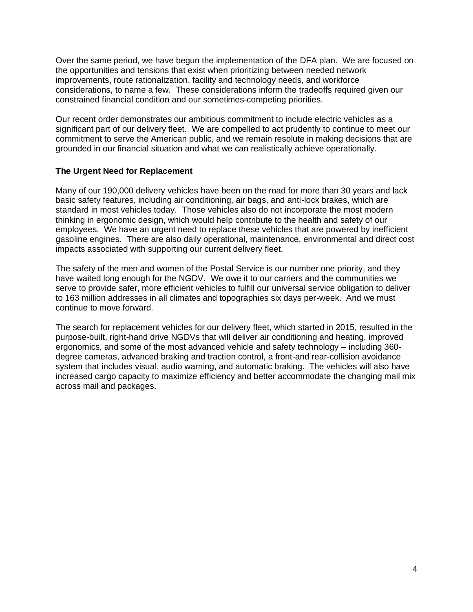Over the same period, we have begun the implementation of the DFA plan. We are focused on the opportunities and tensions that exist when prioritizing between needed network improvements, route rationalization, facility and technology needs, and workforce considerations, to name a few. These considerations inform the tradeoffs required given our constrained financial condition and our sometimes-competing priorities.

Our recent order demonstrates our ambitious commitment to include electric vehicles as a significant part of our delivery fleet. We are compelled to act prudently to continue to meet our commitment to serve the American public, and we remain resolute in making decisions that are grounded in our financial situation and what we can realistically achieve operationally.

### **The Urgent Need for Replacement**

Many of our 190,000 delivery vehicles have been on the road for more than 30 years and lack basic safety features, including air conditioning, air bags, and anti-lock brakes, which are standard in most vehicles today. Those vehicles also do not incorporate the most modern thinking in ergonomic design, which would help contribute to the health and safety of our employees. We have an urgent need to replace these vehicles that are powered by inefficient gasoline engines. There are also daily operational, maintenance, environmental and direct cost impacts associated with supporting our current delivery fleet.

The safety of the men and women of the Postal Service is our number one priority, and they have waited long enough for the NGDV. We owe it to our carriers and the communities we serve to provide safer, more efficient vehicles to fulfill our universal service obligation to deliver to 163 million addresses in all climates and topographies six days per-week. And we must continue to move forward.

The search for replacement vehicles for our delivery fleet, which started in 2015, resulted in the purpose-built, right-hand drive NGDVs that will deliver air conditioning and heating, improved ergonomics, and some of the most advanced vehicle and safety technology – including 360 degree cameras, advanced braking and traction control, a front-and rear-collision avoidance system that includes visual, audio warning, and automatic braking. The vehicles will also have increased cargo capacity to maximize efficiency and better accommodate the changing mail mix across mail and packages.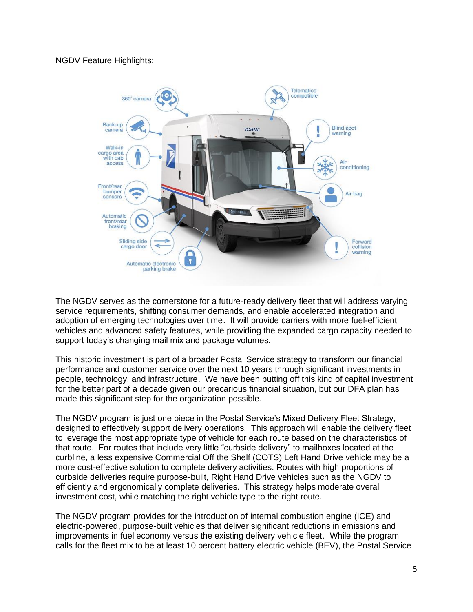NGDV Feature Highlights:



The NGDV serves as the cornerstone for a future-ready delivery fleet that will address varying service requirements, shifting consumer demands, and enable accelerated integration and adoption of emerging technologies over time. It will provide carriers with more fuel-efficient vehicles and advanced safety features, while providing the expanded cargo capacity needed to support today's changing mail mix and package volumes.

This historic investment is part of a broader Postal Service strategy to transform our financial performance and customer service over the next 10 years through significant investments in people, technology, and infrastructure. We have been putting off this kind of capital investment for the better part of a decade given our precarious financial situation, but our DFA plan has made this significant step for the organization possible.

The NGDV program is just one piece in the Postal Service's Mixed Delivery Fleet Strategy, designed to effectively support delivery operations. This approach will enable the delivery fleet to leverage the most appropriate type of vehicle for each route based on the characteristics of that route. For routes that include very little "curbside delivery" to mailboxes located at the curbline, a less expensive Commercial Off the Shelf (COTS) Left Hand Drive vehicle may be a more cost-effective solution to complete delivery activities. Routes with high proportions of curbside deliveries require purpose-built, Right Hand Drive vehicles such as the NGDV to efficiently and ergonomically complete deliveries. This strategy helps moderate overall investment cost, while matching the right vehicle type to the right route.

The NGDV program provides for the introduction of internal combustion engine (ICE) and electric-powered, purpose-built vehicles that deliver significant reductions in emissions and improvements in fuel economy versus the existing delivery vehicle fleet. While the program calls for the fleet mix to be at least 10 percent battery electric vehicle (BEV), the Postal Service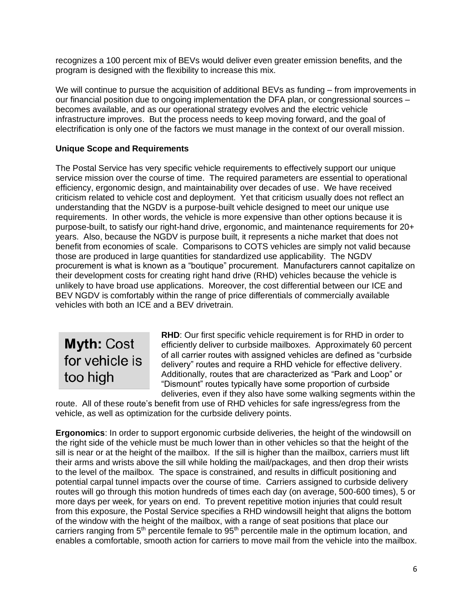recognizes a 100 percent mix of BEVs would deliver even greater emission benefits, and the program is designed with the flexibility to increase this mix.

We will continue to pursue the acquisition of additional BEVs as funding – from improvements in our financial position due to ongoing implementation the DFA plan, or congressional sources – becomes available, and as our operational strategy evolves and the electric vehicle infrastructure improves. But the process needs to keep moving forward, and the goal of electrification is only one of the factors we must manage in the context of our overall mission.

## **Unique Scope and Requirements**

The Postal Service has very specific vehicle requirements to effectively support our unique service mission over the course of time. The required parameters are essential to operational efficiency, ergonomic design, and maintainability over decades of use. We have received criticism related to vehicle cost and deployment. Yet that criticism usually does not reflect an understanding that the NGDV is a purpose-built vehicle designed to meet our unique use requirements. In other words, the vehicle is more expensive than other options because it is purpose-built, to satisfy our right-hand drive, ergonomic, and maintenance requirements for 20+ years. Also, because the NGDV is purpose built, it represents a niche market that does not benefit from economies of scale. Comparisons to COTS vehicles are simply not valid because those are produced in large quantities for standardized use applicability. The NGDV procurement is what is known as a "boutique" procurement. Manufacturers cannot capitalize on their development costs for creating right hand drive (RHD) vehicles because the vehicle is unlikely to have broad use applications. Moreover, the cost differential between our ICE and BEV NGDV is comfortably within the range of price differentials of commercially available vehicles with both an ICE and a BEV drivetrain.

**Myth: Cost** for vehicle is too high

**RHD**: Our first specific vehicle requirement is for RHD in order to efficiently deliver to curbside mailboxes. Approximately 60 percent of all carrier routes with assigned vehicles are defined as "curbside delivery" routes and require a RHD vehicle for effective delivery. Additionally, routes that are characterized as "Park and Loop" or "Dismount" routes typically have some proportion of curbside deliveries, even if they also have some walking segments within the

route. All of these route's benefit from use of RHD vehicles for safe ingress/egress from the vehicle, as well as optimization for the curbside delivery points.

**Ergonomics**: In order to support ergonomic curbside deliveries, the height of the windowsill on the right side of the vehicle must be much lower than in other vehicles so that the height of the sill is near or at the height of the mailbox. If the sill is higher than the mailbox, carriers must lift their arms and wrists above the sill while holding the mail/packages, and then drop their wrists to the level of the mailbox. The space is constrained, and results in difficult positioning and potential carpal tunnel impacts over the course of time. Carriers assigned to curbside delivery routes will go through this motion hundreds of times each day (on average, 500-600 times), 5 or more days per week, for years on end. To prevent repetitive motion injuries that could result from this exposure, the Postal Service specifies a RHD windowsill height that aligns the bottom of the window with the height of the mailbox, with a range of seat positions that place our carriers ranging from 5<sup>th</sup> percentile female to 95<sup>th</sup> percentile male in the optimum location, and enables a comfortable, smooth action for carriers to move mail from the vehicle into the mailbox.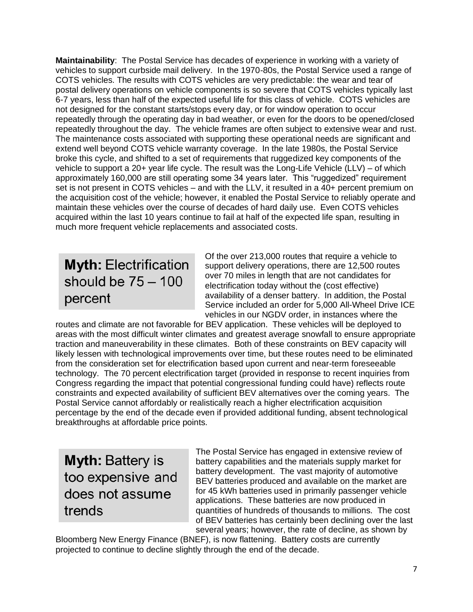**Maintainability**: The Postal Service has decades of experience in working with a variety of vehicles to support curbside mail delivery. In the 1970-80s, the Postal Service used a range of COTS vehicles. The results with COTS vehicles are very predictable: the wear and tear of postal delivery operations on vehicle components is so severe that COTS vehicles typically last 6-7 years, less than half of the expected useful life for this class of vehicle. COTS vehicles are not designed for the constant starts/stops every day, or for window operation to occur repeatedly through the operating day in bad weather, or even for the doors to be opened/closed repeatedly throughout the day. The vehicle frames are often subject to extensive wear and rust. The maintenance costs associated with supporting these operational needs are significant and extend well beyond COTS vehicle warranty coverage. In the late 1980s, the Postal Service broke this cycle, and shifted to a set of requirements that ruggedized key components of the vehicle to support a 20+ year life cycle. The result was the Long-Life Vehicle (LLV) – of which approximately 160,000 are still operating some 34 years later. This "ruggedized" requirement set is not present in COTS vehicles – and with the LLV, it resulted in a 40+ percent premium on the acquisition cost of the vehicle; however, it enabled the Postal Service to reliably operate and maintain these vehicles over the course of decades of hard daily use. Even COTS vehicles acquired within the last 10 years continue to fail at half of the expected life span, resulting in much more frequent vehicle replacements and associated costs.

# **Myth: Electrification** should be  $75 - 100$ percent

Of the over 213,000 routes that require a vehicle to support delivery operations, there are 12,500 routes over 70 miles in length that are not candidates for electrification today without the (cost effective) availability of a denser battery. In addition, the Postal Service included an order for 5,000 All-Wheel Drive ICE vehicles in our NGDV order, in instances where the

routes and climate are not favorable for BEV application. These vehicles will be deployed to areas with the most difficult winter climates and greatest average snowfall to ensure appropriate traction and maneuverability in these climates. Both of these constraints on BEV capacity will likely lessen with technological improvements over time, but these routes need to be eliminated from the consideration set for electrification based upon current and near-term foreseeable technology. The 70 percent electrification target (provided in response to recent inquiries from Congress regarding the impact that potential congressional funding could have) reflects route constraints and expected availability of sufficient BEV alternatives over the coming years. The Postal Service cannot affordably or realistically reach a higher electrification acquisition percentage by the end of the decade even if provided additional funding, absent technological breakthroughs at affordable price points.

# **Myth: Battery is** too expensive and does not assume trends

The Postal Service has engaged in extensive review of battery capabilities and the materials supply market for battery development. The vast majority of automotive BEV batteries produced and available on the market are for 45 kWh batteries used in primarily passenger vehicle applications. These batteries are now produced in quantities of hundreds of thousands to millions. The cost of BEV batteries has certainly been declining over the last several years; however, the rate of decline, as shown by

Bloomberg New Energy Finance (BNEF), is now flattening. Battery costs are currently projected to continue to decline slightly through the end of the decade.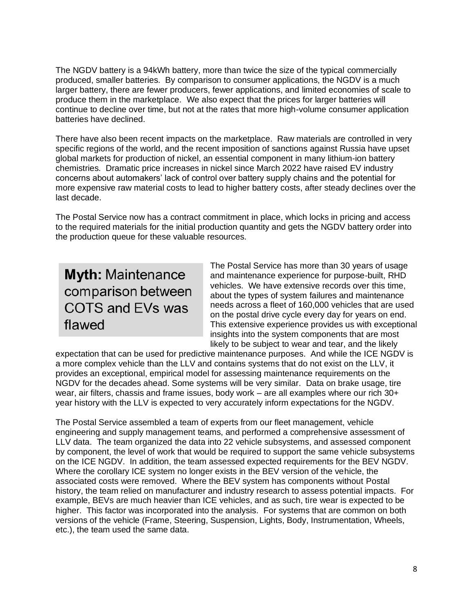The NGDV battery is a 94kWh battery, more than twice the size of the typical commercially produced, smaller batteries. By comparison to consumer applications, the NGDV is a much larger battery, there are fewer producers, fewer applications, and limited economies of scale to produce them in the marketplace. We also expect that the prices for larger batteries will continue to decline over time, but not at the rates that more high-volume consumer application batteries have declined.

There have also been recent impacts on the marketplace. Raw materials are controlled in very specific regions of the world, and the recent imposition of sanctions against Russia have upset global markets for production of nickel, an essential component in many lithium-ion battery chemistries. Dramatic price increases in nickel since March 2022 have raised EV industry concerns about automakers' lack of control over battery supply chains and the potential for more expensive raw material costs to lead to higher battery costs, after steady declines over the last decade.

The Postal Service now has a contract commitment in place, which locks in pricing and access to the required materials for the initial production quantity and gets the NGDV battery order into the production queue for these valuable resources.

# **Myth: Maintenance** comparison between COTS and EVs was flawed

The Postal Service has more than 30 years of usage and maintenance experience for purpose-built, RHD vehicles. We have extensive records over this time, about the types of system failures and maintenance needs across a fleet of 160,000 vehicles that are used on the postal drive cycle every day for years on end. This extensive experience provides us with exceptional insights into the system components that are most likely to be subject to wear and tear, and the likely

expectation that can be used for predictive maintenance purposes. And while the ICE NGDV is a more complex vehicle than the LLV and contains systems that do not exist on the LLV, it provides an exceptional, empirical model for assessing maintenance requirements on the NGDV for the decades ahead. Some systems will be very similar. Data on brake usage, tire wear, air filters, chassis and frame issues, body work – are all examples where our rich 30+ year history with the LLV is expected to very accurately inform expectations for the NGDV.

The Postal Service assembled a team of experts from our fleet management, vehicle engineering and supply management teams, and performed a comprehensive assessment of LLV data. The team organized the data into 22 vehicle subsystems, and assessed component by component, the level of work that would be required to support the same vehicle subsystems on the ICE NGDV. In addition, the team assessed expected requirements for the BEV NGDV. Where the corollary ICE system no longer exists in the BEV version of the vehicle, the associated costs were removed. Where the BEV system has components without Postal history, the team relied on manufacturer and industry research to assess potential impacts. For example, BEVs are much heavier than ICE vehicles, and as such, tire wear is expected to be higher. This factor was incorporated into the analysis. For systems that are common on both versions of the vehicle (Frame, Steering, Suspension, Lights, Body, Instrumentation, Wheels, etc.), the team used the same data.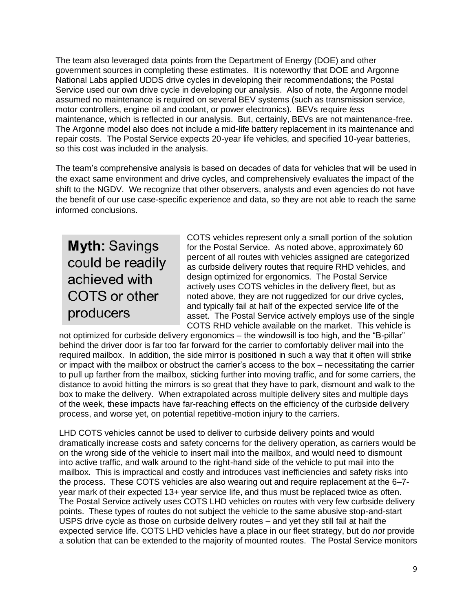The team also leveraged data points from the Department of Energy (DOE) and other government sources in completing these estimates. It is noteworthy that DOE and Argonne National Labs applied UDDS drive cycles in developing their recommendations; the Postal Service used our own drive cycle in developing our analysis. Also of note, the Argonne model assumed no maintenance is required on several BEV systems (such as transmission service, motor controllers, engine oil and coolant, or power electronics). BEVs require *less* maintenance, which is reflected in our analysis. But, certainly, BEVs are not maintenance-free. The Argonne model also does not include a mid-life battery replacement in its maintenance and repair costs. The Postal Service expects 20-year life vehicles, and specified 10-year batteries, so this cost was included in the analysis.

The team's comprehensive analysis is based on decades of data for vehicles that will be used in the exact same environment and drive cycles, and comprehensively evaluates the impact of the shift to the NGDV. We recognize that other observers, analysts and even agencies do not have the benefit of our use case-specific experience and data, so they are not able to reach the same informed conclusions.

**Myth: Savings** could be readily achieved with COTS or other producers

COTS vehicles represent only a small portion of the solution for the Postal Service. As noted above, approximately 60 percent of all routes with vehicles assigned are categorized as curbside delivery routes that require RHD vehicles, and design optimized for ergonomics. The Postal Service actively uses COTS vehicles in the delivery fleet, but as noted above, they are not ruggedized for our drive cycles, and typically fail at half of the expected service life of the asset. The Postal Service actively employs use of the single COTS RHD vehicle available on the market. This vehicle is

not optimized for curbside delivery ergonomics – the windowsill is too high, and the "B-pillar" behind the driver door is far too far forward for the carrier to comfortably deliver mail into the required mailbox. In addition, the side mirror is positioned in such a way that it often will strike or impact with the mailbox or obstruct the carrier's access to the box – necessitating the carrier to pull up farther from the mailbox, sticking further into moving traffic, and for some carriers, the distance to avoid hitting the mirrors is so great that they have to park, dismount and walk to the box to make the delivery. When extrapolated across multiple delivery sites and multiple days of the week, these impacts have far-reaching effects on the efficiency of the curbside delivery process, and worse yet, on potential repetitive-motion injury to the carriers.

LHD COTS vehicles cannot be used to deliver to curbside delivery points and would dramatically increase costs and safety concerns for the delivery operation, as carriers would be on the wrong side of the vehicle to insert mail into the mailbox, and would need to dismount into active traffic, and walk around to the right-hand side of the vehicle to put mail into the mailbox. This is impractical and costly and introduces vast inefficiencies and safety risks into the process. These COTS vehicles are also wearing out and require replacement at the 6–7 year mark of their expected 13+ year service life, and thus must be replaced twice as often. The Postal Service actively uses COTS LHD vehicles on routes with very few curbside delivery points. These types of routes do not subject the vehicle to the same abusive stop-and-start USPS drive cycle as those on curbside delivery routes – and yet they still fail at half the expected service life. COTS LHD vehicles have a place in our fleet strategy, but do *not* provide a solution that can be extended to the majority of mounted routes. The Postal Service monitors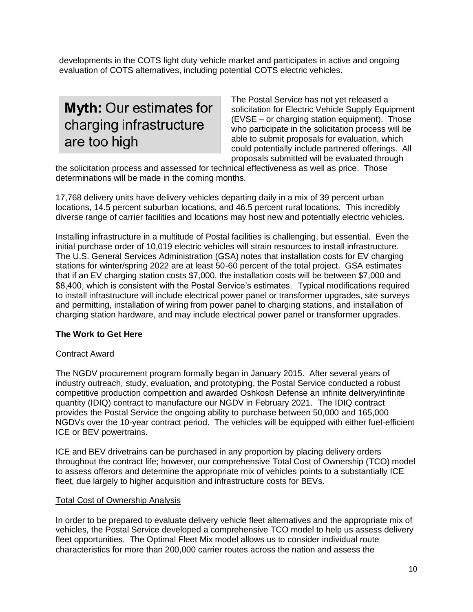developments in the COTS light duty vehicle market and participates in active and ongoing evaluation of COTS alternatives, including potential COTS electric vehicles.

# Myth: Our estimates for charging infrastructure are too high

The Postal Service has not yet released a solicitation for Electric Vehicle Supply Equipment (EVSE – or charging station equipment). Those who participate in the solicitation process will be able to submit proposals for evaluation, which could potentially include partnered offerings. All proposals submitted will be evaluated through

the solicitation process and assessed for technical effectiveness as well as price. Those determinations will be made in the coming months.

17,768 delivery units have delivery vehicles departing daily in a mix of 39 percent urban locations, 14.5 percent suburban locations, and 46.5 percent rural locations. This incredibly diverse range of carrier facilities and locations may host new and potentially electric vehicles.

Installing infrastructure in a multitude of Postal facilities is challenging, but essential. Even the initial purchase order of 10,019 electric vehicles will strain resources to install infrastructure. The U.S. General Services Administration (GSA) notes that installation costs for EV charging stations for winter/spring 2022 are at least 50-60 percent of the total project. GSA estimates that if an EV charging station costs \$7,000, the installation costs will be between \$7,000 and \$8,400, which is consistent with the Postal Service's estimates. Typical modifications required to install infrastructure will include electrical power panel or transformer upgrades, site surveys and permitting, installation of wiring from power panel to charging stations, and installation of charging station hardware, and may include electrical power panel or transformer upgrades.

## **The Work to Get Here**

### Contract Award

The NGDV procurement program formally began in January 2015. After several years of industry outreach, study, evaluation, and prototyping, the Postal Service conducted a robust competitive production competition and awarded Oshkosh Defense an infinite delivery/infinite quantity (IDIQ) contract to manufacture our NGDV in February 2021. The IDIQ contract provides the Postal Service the ongoing ability to purchase between 50,000 and 165,000 NGDVs over the 10-year contract period. The vehicles will be equipped with either fuel-efficient ICE or BEV powertrains.

ICE and BEV drivetrains can be purchased in any proportion by placing delivery orders throughout the contract life; however, our comprehensive Total Cost of Ownership (TCO) model to assess offerors and determine the appropriate mix of vehicles points to a substantially ICE fleet, due largely to higher acquisition and infrastructure costs for BEVs.

### Total Cost of Ownership Analysis

In order to be prepared to evaluate delivery vehicle fleet alternatives and the appropriate mix of vehicles, the Postal Service developed a comprehensive TCO model to help us assess delivery fleet opportunities. The Optimal Fleet Mix model allows us to consider individual route characteristics for more than 200,000 carrier routes across the nation and assess the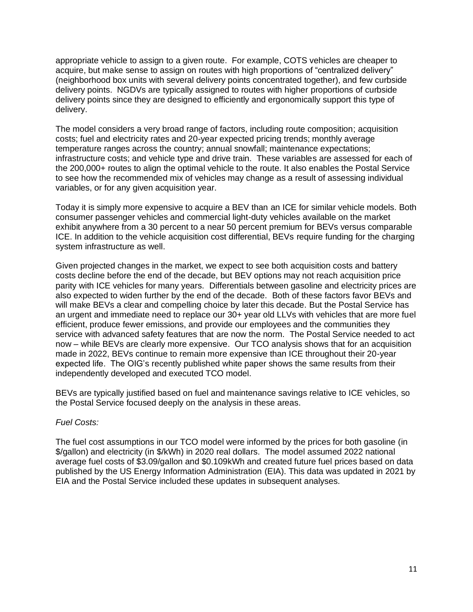appropriate vehicle to assign to a given route. For example, COTS vehicles are cheaper to acquire, but make sense to assign on routes with high proportions of "centralized delivery" (neighborhood box units with several delivery points concentrated together), and few curbside delivery points. NGDVs are typically assigned to routes with higher proportions of curbside delivery points since they are designed to efficiently and ergonomically support this type of delivery.

The model considers a very broad range of factors, including route composition; acquisition costs; fuel and electricity rates and 20-year expected pricing trends; monthly average temperature ranges across the country; annual snowfall; maintenance expectations; infrastructure costs; and vehicle type and drive train. These variables are assessed for each of the 200,000+ routes to align the optimal vehicle to the route. It also enables the Postal Service to see how the recommended mix of vehicles may change as a result of assessing individual variables, or for any given acquisition year.

Today it is simply more expensive to acquire a BEV than an ICE for similar vehicle models. Both consumer passenger vehicles and commercial light-duty vehicles available on the market exhibit anywhere from a 30 percent to a near 50 percent premium for BEVs versus comparable ICE. In addition to the vehicle acquisition cost differential, BEVs require funding for the charging system infrastructure as well.

Given projected changes in the market, we expect to see both acquisition costs and battery costs decline before the end of the decade, but BEV options may not reach acquisition price parity with ICE vehicles for many years. Differentials between gasoline and electricity prices are also expected to widen further by the end of the decade. Both of these factors favor BEVs and will make BEVs a clear and compelling choice by later this decade. But the Postal Service has an urgent and immediate need to replace our 30+ year old LLVs with vehicles that are more fuel efficient, produce fewer emissions, and provide our employees and the communities they service with advanced safety features that are now the norm. The Postal Service needed to act now – while BEVs are clearly more expensive. Our TCO analysis shows that for an acquisition made in 2022, BEVs continue to remain more expensive than ICE throughout their 20-year expected life. The OIG's recently published white paper shows the same results from their independently developed and executed TCO model.

BEVs are typically justified based on fuel and maintenance savings relative to ICE vehicles, so the Postal Service focused deeply on the analysis in these areas.

#### *Fuel Costs:*

The fuel cost assumptions in our TCO model were informed by the prices for both gasoline (in \$/gallon) and electricity (in \$/kWh) in 2020 real dollars. The model assumed 2022 national average fuel costs of \$3.09/gallon and \$0.109kWh and created future fuel prices based on data published by the US Energy Information Administration (EIA). This data was updated in 2021 by EIA and the Postal Service included these updates in subsequent analyses.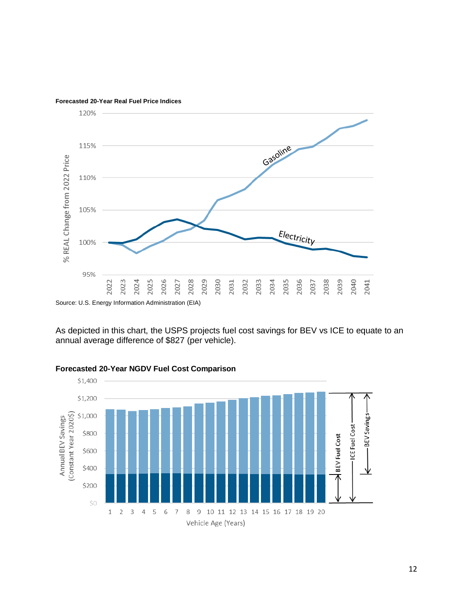

**Forecasted 20-Year Real Fuel Price Indices**

As depicted in this chart, the USPS projects fuel cost savings for BEV vs ICE to equate to an annual average difference of \$827 (per vehicle).



#### **Forecasted 20-Year NGDV Fuel Cost Comparison**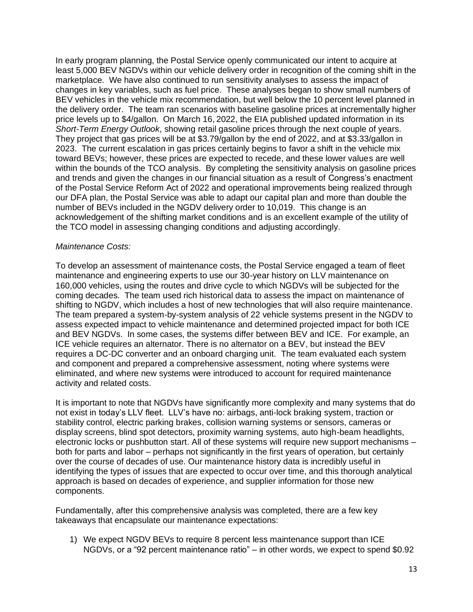In early program planning, the Postal Service openly communicated our intent to acquire at least 5,000 BEV NGDVs within our vehicle delivery order in recognition of the coming shift in the marketplace. We have also continued to run sensitivity analyses to assess the impact of changes in key variables, such as fuel price. These analyses began to show small numbers of BEV vehicles in the vehicle mix recommendation, but well below the 10 percent level planned in the delivery order. The team ran scenarios with baseline gasoline prices at incrementally higher price levels up to \$4/gallon. On March 16, 2022, the EIA published updated information in its *Short-Term Energy Outlook*, showing retail gasoline prices through the next couple of years. They project that gas prices will be at \$3.79/gallon by the end of 2022, and at \$3.33/gallon in 2023. The current escalation in gas prices certainly begins to favor a shift in the vehicle mix toward BEVs; however, these prices are expected to recede, and these lower values are well within the bounds of the TCO analysis. By completing the sensitivity analysis on gasoline prices and trends and given the changes in our financial situation as a result of Congress's enactment of the Postal Service Reform Act of 2022 and operational improvements being realized through our DFA plan, the Postal Service was able to adapt our capital plan and more than double the number of BEVs included in the NGDV delivery order to 10,019. This change is an acknowledgement of the shifting market conditions and is an excellent example of the utility of the TCO model in assessing changing conditions and adjusting accordingly.

#### *Maintenance Costs:*

To develop an assessment of maintenance costs, the Postal Service engaged a team of fleet maintenance and engineering experts to use our 30-year history on LLV maintenance on 160,000 vehicles, using the routes and drive cycle to which NGDVs will be subjected for the coming decades. The team used rich historical data to assess the impact on maintenance of shifting to NGDV, which includes a host of new technologies that will also require maintenance. The team prepared a system-by-system analysis of 22 vehicle systems present in the NGDV to assess expected impact to vehicle maintenance and determined projected impact for both ICE and BEV NGDVs. In some cases, the systems differ between BEV and ICE. For example, an ICE vehicle requires an alternator. There is no alternator on a BEV, but instead the BEV requires a DC-DC converter and an onboard charging unit. The team evaluated each system and component and prepared a comprehensive assessment, noting where systems were eliminated, and where new systems were introduced to account for required maintenance activity and related costs.

It is important to note that NGDVs have significantly more complexity and many systems that do not exist in today's LLV fleet. LLV's have no: airbags, anti-lock braking system, traction or stability control, electric parking brakes, collision warning systems or sensors, cameras or display screens, blind spot detectors, proximity warning systems, auto high-beam headlights, electronic locks or pushbutton start. All of these systems will require new support mechanisms – both for parts and labor – perhaps not significantly in the first years of operation, but certainly over the course of decades of use. Our maintenance history data is incredibly useful in identifying the types of issues that are expected to occur over time, and this thorough analytical approach is based on decades of experience, and supplier information for those new components.

Fundamentally, after this comprehensive analysis was completed, there are a few key takeaways that encapsulate our maintenance expectations:

1) We expect NGDV BEVs to require 8 percent less maintenance support than ICE NGDVs, or a "92 percent maintenance ratio" – in other words, we expect to spend \$0.92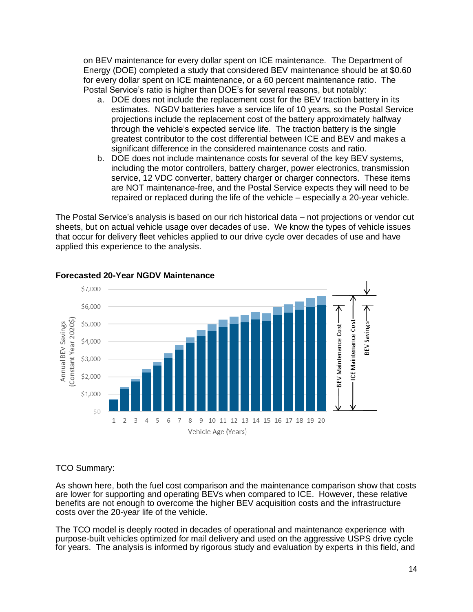on BEV maintenance for every dollar spent on ICE maintenance. The Department of Energy (DOE) completed a study that considered BEV maintenance should be at \$0.60 for every dollar spent on ICE maintenance, or a 60 percent maintenance ratio. The Postal Service's ratio is higher than DOE's for several reasons, but notably:

- a. DOE does not include the replacement cost for the BEV traction battery in its estimates. NGDV batteries have a service life of 10 years, so the Postal Service projections include the replacement cost of the battery approximately halfway through the vehicle's expected service life. The traction battery is the single greatest contributor to the cost differential between ICE and BEV and makes a significant difference in the considered maintenance costs and ratio.
- b. DOE does not include maintenance costs for several of the key BEV systems, including the motor controllers, battery charger, power electronics, transmission service, 12 VDC converter, battery charger or charger connectors. These items are NOT maintenance-free, and the Postal Service expects they will need to be repaired or replaced during the life of the vehicle – especially a 20-year vehicle.

The Postal Service's analysis is based on our rich historical data – not projections or vendor cut sheets, but on actual vehicle usage over decades of use. We know the types of vehicle issues that occur for delivery fleet vehicles applied to our drive cycle over decades of use and have applied this experience to the analysis.



### **Forecasted 20-Year NGDV Maintenance**

### TCO Summary:

As shown here, both the fuel cost comparison and the maintenance comparison show that costs are lower for supporting and operating BEVs when compared to ICE. However, these relative benefits are not enough to overcome the higher BEV acquisition costs and the infrastructure costs over the 20-year life of the vehicle.

The TCO model is deeply rooted in decades of operational and maintenance experience with purpose-built vehicles optimized for mail delivery and used on the aggressive USPS drive cycle for years. The analysis is informed by rigorous study and evaluation by experts in this field, and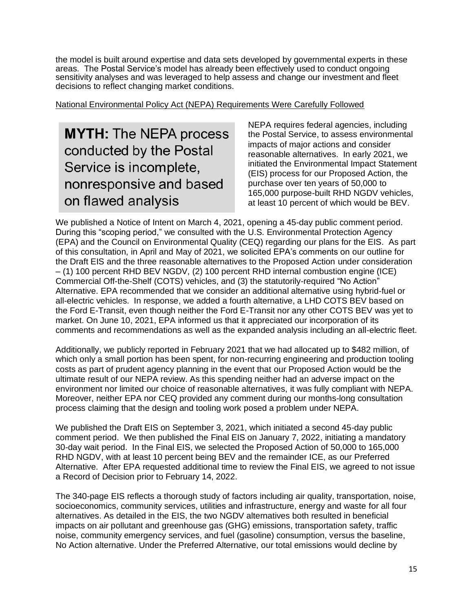the model is built around expertise and data sets developed by governmental experts in these areas. The Postal Service's model has already been effectively used to conduct ongoing sensitivity analyses and was leveraged to help assess and change our investment and fleet decisions to reflect changing market conditions.

National Environmental Policy Act (NEPA) Requirements Were Carefully Followed

**MYTH: The NEPA process** conducted by the Postal Service is incomplete, nonresponsive and based on flawed analysis

NEPA requires federal agencies, including the Postal Service, to assess environmental impacts of major actions and consider reasonable alternatives. In early 2021, we initiated the Environmental Impact Statement (EIS) process for our Proposed Action, the purchase over ten years of 50,000 to 165,000 purpose-built RHD NGDV vehicles, at least 10 percent of which would be BEV.

We published a Notice of Intent on March 4, 2021, opening a 45-day public comment period. During this "scoping period," we consulted with the U.S. Environmental Protection Agency (EPA) and the Council on Environmental Quality (CEQ) regarding our plans for the EIS. As part of this consultation, in April and May of 2021, we solicited EPA's comments on our outline for the Draft EIS and the three reasonable alternatives to the Proposed Action under consideration – (1) 100 percent RHD BEV NGDV, (2) 100 percent RHD internal combustion engine (ICE) Commercial Off-the-Shelf (COTS) vehicles, and (3) the statutorily-required "No Action" Alternative. EPA recommended that we consider an additional alternative using hybrid-fuel or all-electric vehicles. In response, we added a fourth alternative, a LHD COTS BEV based on the Ford E-Transit, even though neither the Ford E-Transit nor any other COTS BEV was yet to market. On June 10, 2021, EPA informed us that it appreciated our incorporation of its comments and recommendations as well as the expanded analysis including an all-electric fleet.

Additionally, we publicly reported in February 2021 that we had allocated up to \$482 million, of which only a small portion has been spent, for non-recurring engineering and production tooling costs as part of prudent agency planning in the event that our Proposed Action would be the ultimate result of our NEPA review. As this spending neither had an adverse impact on the environment nor limited our choice of reasonable alternatives, it was fully compliant with NEPA. Moreover, neither EPA nor CEQ provided any comment during our months-long consultation process claiming that the design and tooling work posed a problem under NEPA.

We published the Draft EIS on September 3, 2021, which initiated a second 45-day public comment period. We then published the Final EIS on January 7, 2022, initiating a mandatory 30-day wait period. In the Final EIS, we selected the Proposed Action of 50,000 to 165,000 RHD NGDV, with at least 10 percent being BEV and the remainder ICE, as our Preferred Alternative. After EPA requested additional time to review the Final EIS, we agreed to not issue a Record of Decision prior to February 14, 2022.

The 340-page EIS reflects a thorough study of factors including air quality, transportation, noise, socioeconomics, community services, utilities and infrastructure, energy and waste for all four alternatives. As detailed in the EIS, the two NGDV alternatives both resulted in beneficial impacts on air pollutant and greenhouse gas (GHG) emissions, transportation safety, traffic noise, community emergency services, and fuel (gasoline) consumption, versus the baseline, No Action alternative. Under the Preferred Alternative, our total emissions would decline by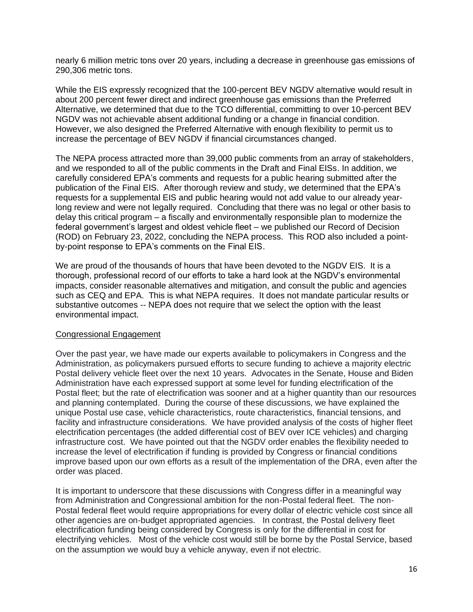nearly 6 million metric tons over 20 years, including a decrease in greenhouse gas emissions of 290,306 metric tons.

While the EIS expressly recognized that the 100-percent BEV NGDV alternative would result in about 200 percent fewer direct and indirect greenhouse gas emissions than the Preferred Alternative, we determined that due to the TCO differential, committing to over 10-percent BEV NGDV was not achievable absent additional funding or a change in financial condition. However, we also designed the Preferred Alternative with enough flexibility to permit us to increase the percentage of BEV NGDV if financial circumstances changed.

The NEPA process attracted more than 39,000 public comments from an array of stakeholders, and we responded to all of the public comments in the Draft and Final EISs. In addition, we carefully considered EPA's comments and requests for a public hearing submitted after the publication of the Final EIS. After thorough review and study, we determined that the EPA's requests for a supplemental EIS and public hearing would not add value to our already yearlong review and were not legally required. Concluding that there was no legal or other basis to delay this critical program – a fiscally and environmentally responsible plan to modernize the federal government's largest and oldest vehicle fleet – we published our Record of Decision (ROD) on February 23, 2022, concluding the NEPA process. This ROD also included a pointby-point response to EPA's comments on the Final EIS.

We are proud of the thousands of hours that have been devoted to the NGDV EIS. It is a thorough, professional record of our efforts to take a hard look at the NGDV's environmental impacts, consider reasonable alternatives and mitigation, and consult the public and agencies such as CEQ and EPA. This is what NEPA requires. It does not mandate particular results or substantive outcomes -- NEPA does not require that we select the option with the least environmental impact.

### Congressional Engagement

Over the past year, we have made our experts available to policymakers in Congress and the Administration, as policymakers pursued efforts to secure funding to achieve a majority electric Postal delivery vehicle fleet over the next 10 years. Advocates in the Senate, House and Biden Administration have each expressed support at some level for funding electrification of the Postal fleet; but the rate of electrification was sooner and at a higher quantity than our resources and planning contemplated. During the course of these discussions, we have explained the unique Postal use case, vehicle characteristics, route characteristics, financial tensions, and facility and infrastructure considerations. We have provided analysis of the costs of higher fleet electrification percentages (the added differential cost of BEV over ICE vehicles) and charging infrastructure cost. We have pointed out that the NGDV order enables the flexibility needed to increase the level of electrification if funding is provided by Congress or financial conditions improve based upon our own efforts as a result of the implementation of the DRA, even after the order was placed.

It is important to underscore that these discussions with Congress differ in a meaningful way from Administration and Congressional ambition for the non-Postal federal fleet. The non-Postal federal fleet would require appropriations for every dollar of electric vehicle cost since all other agencies are on-budget appropriated agencies. In contrast, the Postal delivery fleet electrification funding being considered by Congress is only for the differential in cost for electrifying vehicles. Most of the vehicle cost would still be borne by the Postal Service, based on the assumption we would buy a vehicle anyway, even if not electric.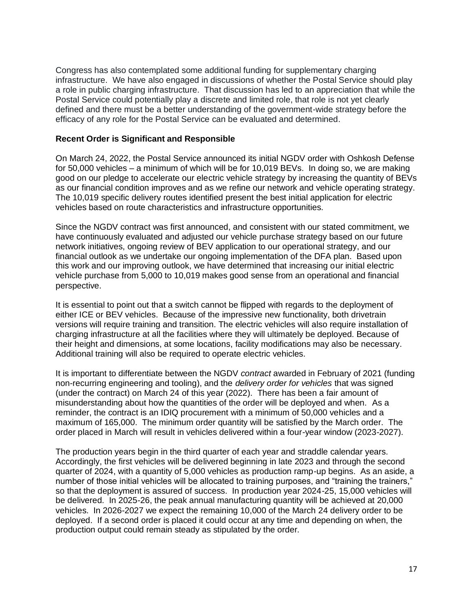Congress has also contemplated some additional funding for supplementary charging infrastructure. We have also engaged in discussions of whether the Postal Service should play a role in public charging infrastructure. That discussion has led to an appreciation that while the Postal Service could potentially play a discrete and limited role, that role is not yet clearly defined and there must be a better understanding of the government-wide strategy before the efficacy of any role for the Postal Service can be evaluated and determined.

#### **Recent Order is Significant and Responsible**

On March 24, 2022, the Postal Service announced its initial NGDV order with Oshkosh Defense for 50,000 vehicles – a minimum of which will be for 10,019 BEVs. In doing so, we are making good on our pledge to accelerate our electric vehicle strategy by increasing the quantity of BEVs as our financial condition improves and as we refine our network and vehicle operating strategy. The 10,019 specific delivery routes identified present the best initial application for electric vehicles based on route characteristics and infrastructure opportunities.

Since the NGDV contract was first announced, and consistent with our stated commitment, we have continuously evaluated and adjusted our vehicle purchase strategy based on our future network initiatives, ongoing review of BEV application to our operational strategy, and our financial outlook as we undertake our ongoing implementation of the DFA plan. Based upon this work and our improving outlook, we have determined that increasing our initial electric vehicle purchase from 5,000 to 10,019 makes good sense from an operational and financial perspective.

It is essential to point out that a switch cannot be flipped with regards to the deployment of either ICE or BEV vehicles. Because of the impressive new functionality, both drivetrain versions will require training and transition. The electric vehicles will also require installation of charging infrastructure at all the facilities where they will ultimately be deployed. Because of their height and dimensions, at some locations, facility modifications may also be necessary. Additional training will also be required to operate electric vehicles.

It is important to differentiate between the NGDV *contract* awarded in February of 2021 (funding non-recurring engineering and tooling), and the *delivery order for vehicles* that was signed (under the contract) on March 24 of this year (2022). There has been a fair amount of misunderstanding about how the quantities of the order will be deployed and when. As a reminder, the contract is an IDIQ procurement with a minimum of 50,000 vehicles and a maximum of 165,000. The minimum order quantity will be satisfied by the March order. The order placed in March will result in vehicles delivered within a four-year window (2023-2027).

The production years begin in the third quarter of each year and straddle calendar years. Accordingly, the first vehicles will be delivered beginning in late 2023 and through the second quarter of 2024, with a quantity of 5,000 vehicles as production ramp-up begins. As an aside, a number of those initial vehicles will be allocated to training purposes, and "training the trainers," so that the deployment is assured of success. In production year 2024-25, 15,000 vehicles will be delivered. In 2025-26, the peak annual manufacturing quantity will be achieved at 20,000 vehicles. In 2026-2027 we expect the remaining 10,000 of the March 24 delivery order to be deployed. If a second order is placed it could occur at any time and depending on when, the production output could remain steady as stipulated by the order.